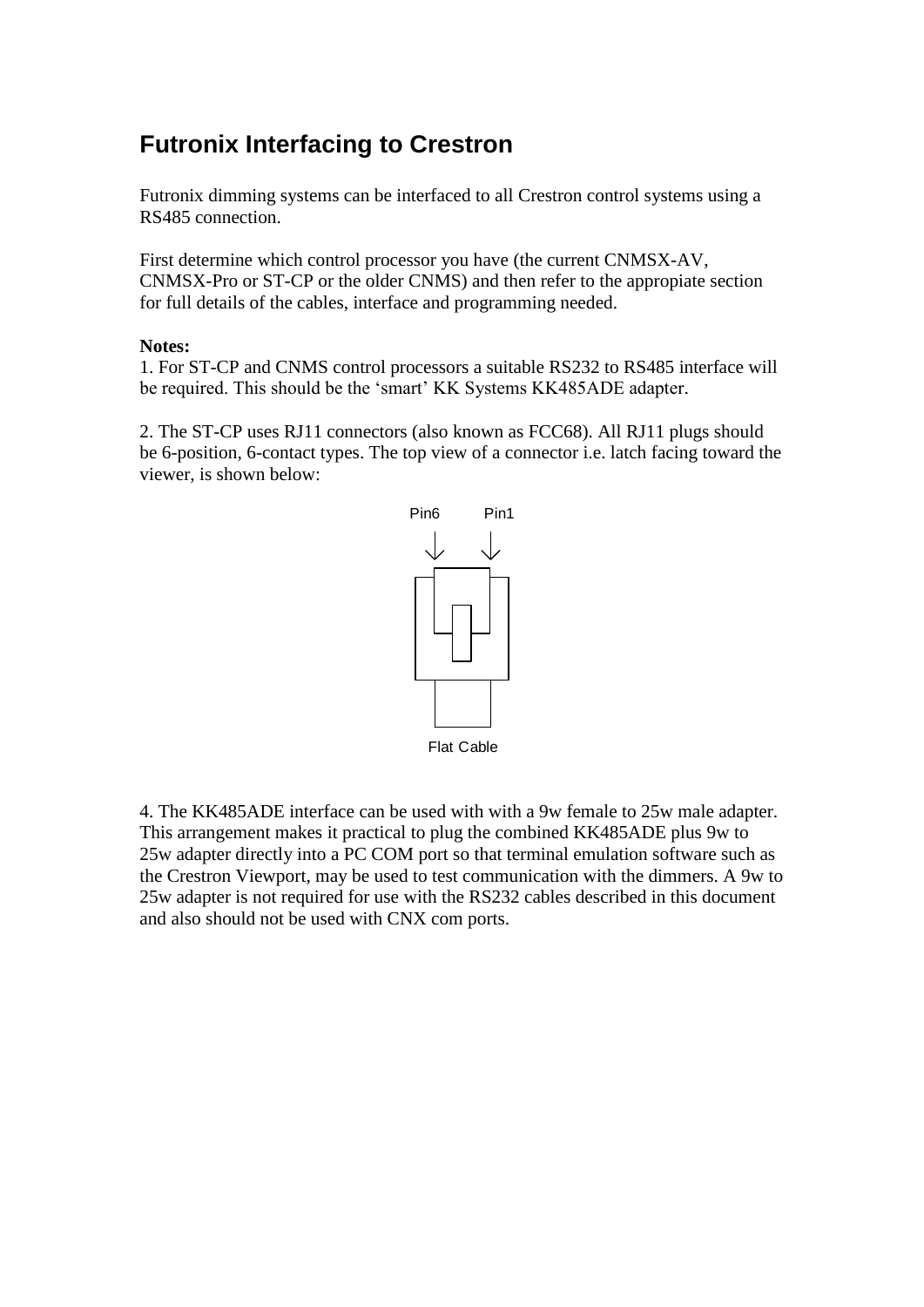# **Futronix Interfacing to Crestron**

Futronix dimming systems can be interfaced to all Crestron control systems using a RS485 connection.

First determine which control processor you have (the current CNMSX-AV, CNMSX-Pro or ST-CP or the older CNMS) and then refer to the appropiate section for full details of the cables, interface and programming needed.

#### **Notes:**

1. For ST-CP and CNMS control processors a suitable RS232 to RS485 interface will be required. This should be the 'smart' KK Systems KK485ADE adapter.

2. The ST-CP uses RJ11 connectors (also known as FCC68). All RJ11 plugs should be 6-position, 6-contact types. The top view of a connector i.e. latch facing toward the viewer, is shown below:



4. The KK485ADE interface can be used with with a 9w female to 25w male adapter. This arrangement makes it practical to plug the combined KK485ADE plus 9w to 25w adapter directly into a PC COM port so that terminal emulation software such as the Crestron Viewport, may be used to test communication with the dimmers. A 9w to 25w adapter is not required for use with the RS232 cables described in this document and also should not be used with CNX com ports.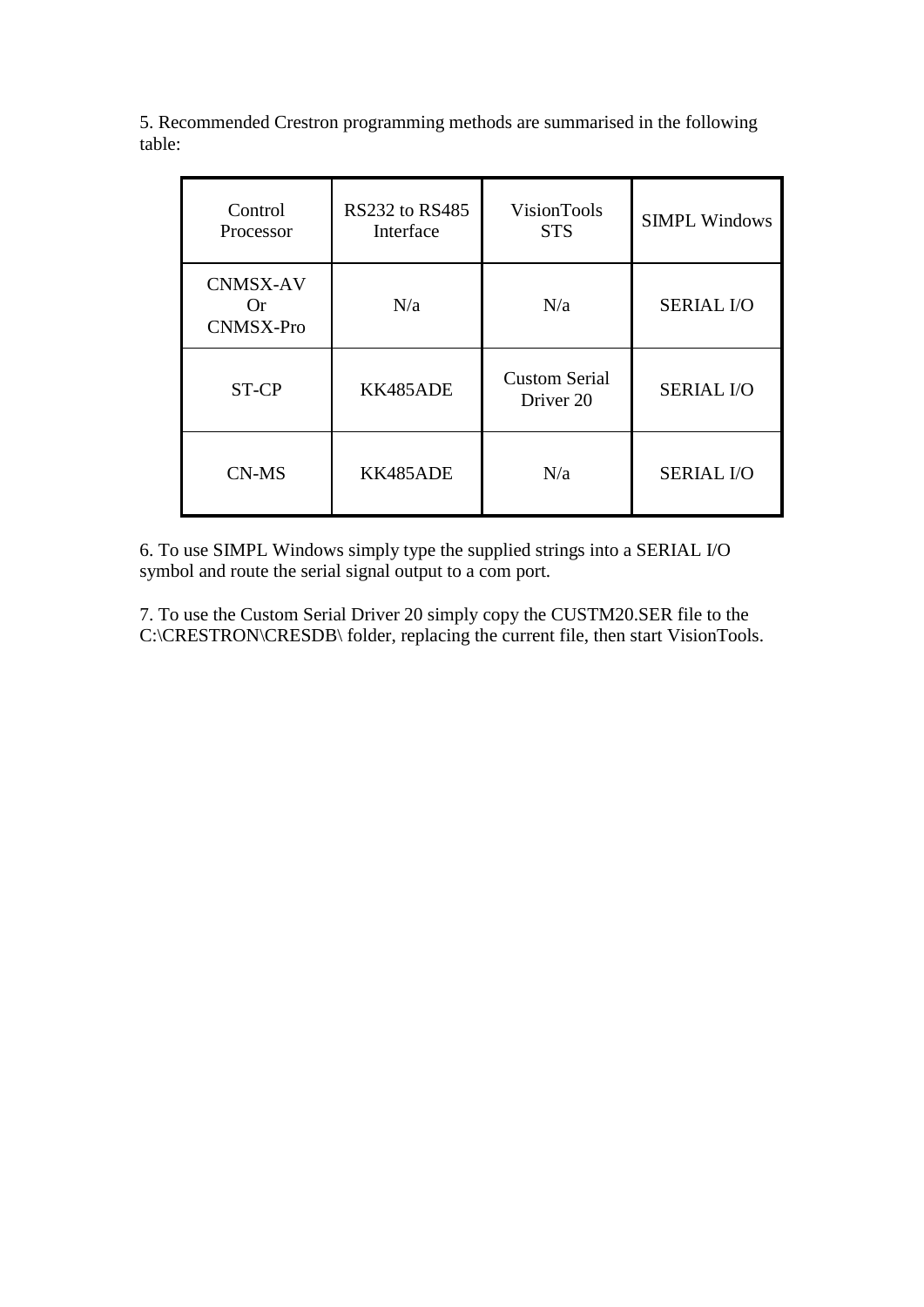5. Recommended Crestron programming methods are summarised in the following table:

| Control<br>Processor                      | <b>RS232 to RS485</b><br>Interface | VisionTools<br><b>STS</b>         | <b>SIMPL Windows</b> |
|-------------------------------------------|------------------------------------|-----------------------------------|----------------------|
| <b>CNMSX-AV</b><br>Or<br><b>CNMSX-Pro</b> | N/a                                | N/a                               | <b>SERIAL I/O</b>    |
| ST-CP                                     | KK485ADE                           | <b>Custom Serial</b><br>Driver 20 | <b>SERIAL I/O</b>    |
| CN-MS                                     | KK485ADE                           | N/a                               | <b>SERIAL I/O</b>    |

6. To use SIMPL Windows simply type the supplied strings into a SERIAL I/O symbol and route the serial signal output to a com port.

7. To use the Custom Serial Driver 20 simply copy the CUSTM20.SER file to the C:\CRESTRON\CRESDB\ folder, replacing the current file, then start VisionTools.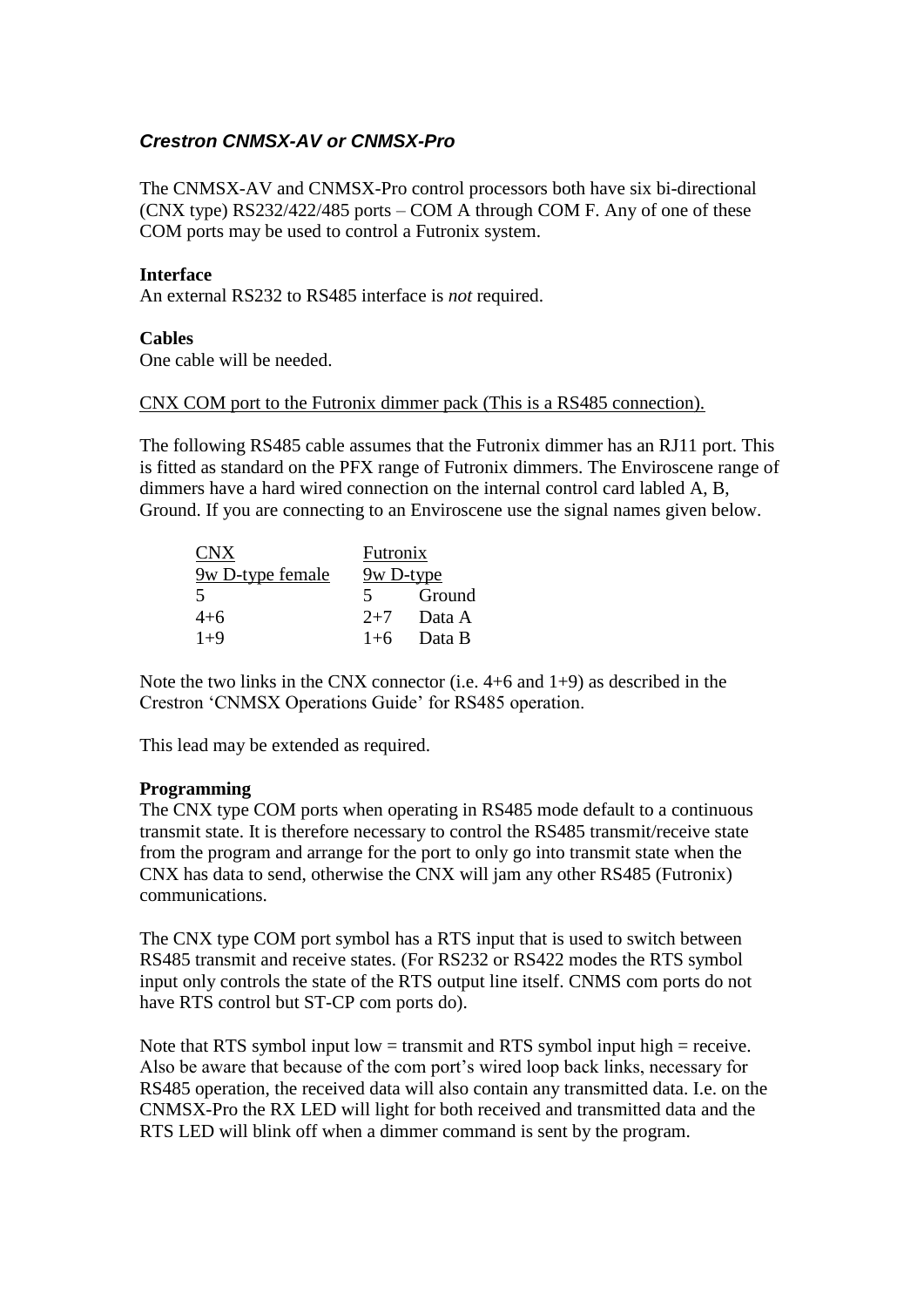# *Crestron CNMSX-AV or CNMSX-Pro*

The CNMSX-AV and CNMSX-Pro control processors both have six bi-directional (CNX type) RS232/422/485 ports – COM A through COM F. Any of one of these COM ports may be used to control a Futronix system.

#### **Interface**

An external RS232 to RS485 interface is *not* required.

#### **Cables**

One cable will be needed.

#### CNX COM port to the Futronix dimmer pack (This is a RS485 connection).

The following RS485 cable assumes that the Futronix dimmer has an RJ11 port. This is fitted as standard on the PFX range of Futronix dimmers. The Enviroscene range of dimmers have a hard wired connection on the internal control card labled A, B, Ground. If you are connecting to an Enviroscene use the signal names given below.

| CNX <sup>-</sup> | Futronix  |        |
|------------------|-----------|--------|
| 9w D-type female | 9w D-type |        |
| $\overline{5}$   | 5.        | Ground |
| $4 + 6$          | $2+7$     | Data A |
| $1+9$            | $1+6$     | Data B |

Note the two links in the CNX connector (i.e. 4+6 and 1+9) as described in the Crestron 'CNMSX Operations Guide' for RS485 operation.

This lead may be extended as required.

#### **Programming**

The CNX type COM ports when operating in RS485 mode default to a continuous transmit state. It is therefore necessary to control the RS485 transmit/receive state from the program and arrange for the port to only go into transmit state when the CNX has data to send, otherwise the CNX will jam any other RS485 (Futronix) communications.

The CNX type COM port symbol has a RTS input that is used to switch between RS485 transmit and receive states. (For RS232 or RS422 modes the RTS symbol input only controls the state of the RTS output line itself. CNMS com ports do not have RTS control but ST-CP com ports do).

Note that RTS symbol input low  $=$  transmit and RTS symbol input high  $=$  receive. Also be aware that because of the com port's wired loop back links, necessary for RS485 operation, the received data will also contain any transmitted data. I.e. on the CNMSX-Pro the RX LED will light for both received and transmitted data and the RTS LED will blink off when a dimmer command is sent by the program.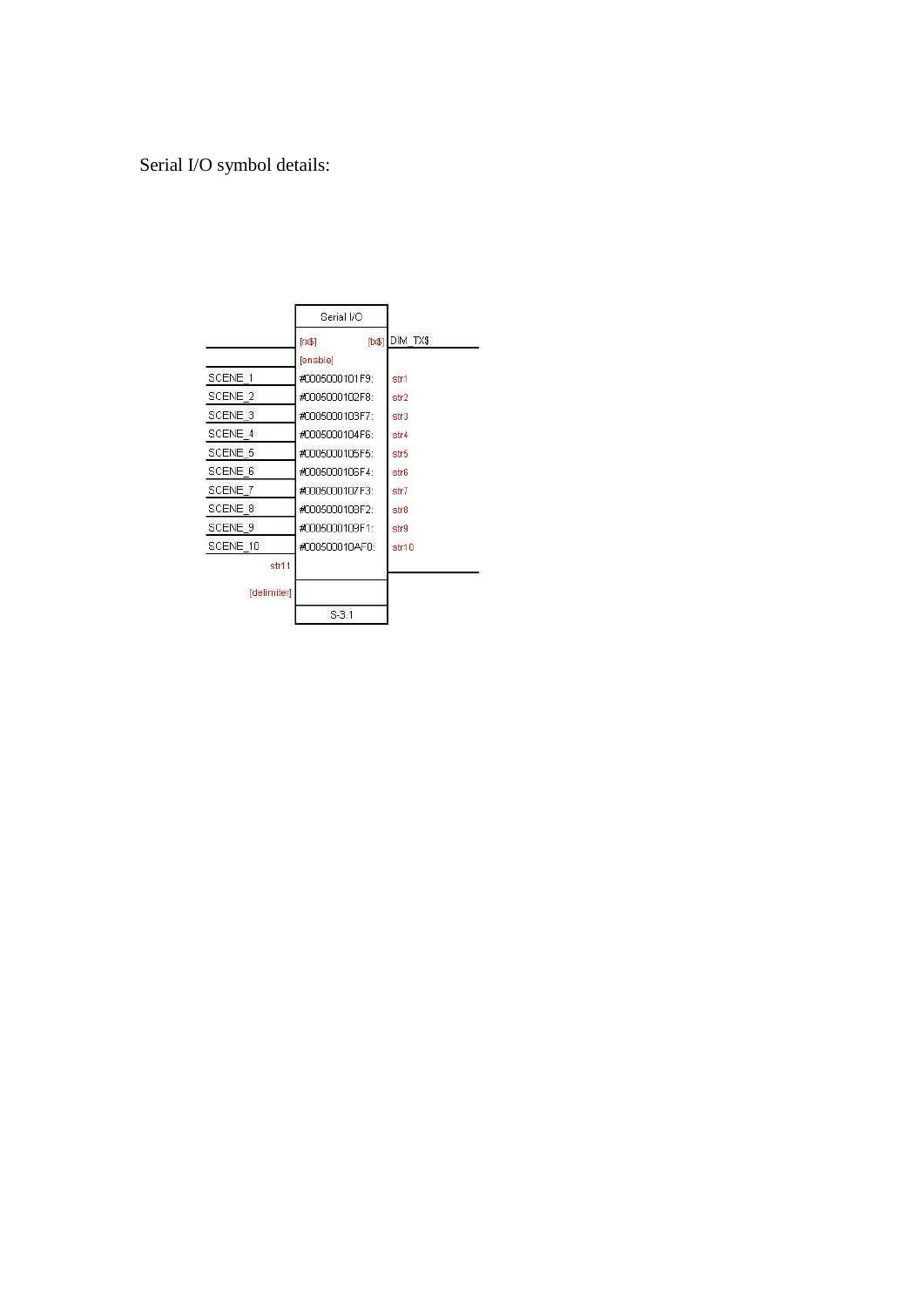# Serial I/O symbol details:

|             | Serial VO               |          |
|-------------|-------------------------|----------|
|             | $[t \times \$]$<br>[x3] | DIM TX\$ |
|             | [enable]                |          |
| SCENE 1     | #0005000101F9:          | str1     |
| SCENE 2     | #0005000102F8:          | str2     |
| SCENE 3     | #0005000103F7:          | str3     |
| SCENE 4     | #0005000104F6:          | str4     |
| SCENE 5     | #0005000105F5:          | str5     |
| SCENE 6     | #0005000106F4:          | str6     |
| SCENE 7     | #0005000107F3:          | str7     |
| SCENE 8     | #0005000108F2:          | str8     |
| SCENE 9     | #0005000109F1:          | str9     |
| SCENE 10    | #000500010AF0:          | str10    |
| str11       |                         |          |
| [delimiter] |                         |          |
|             | $S-3.1$                 |          |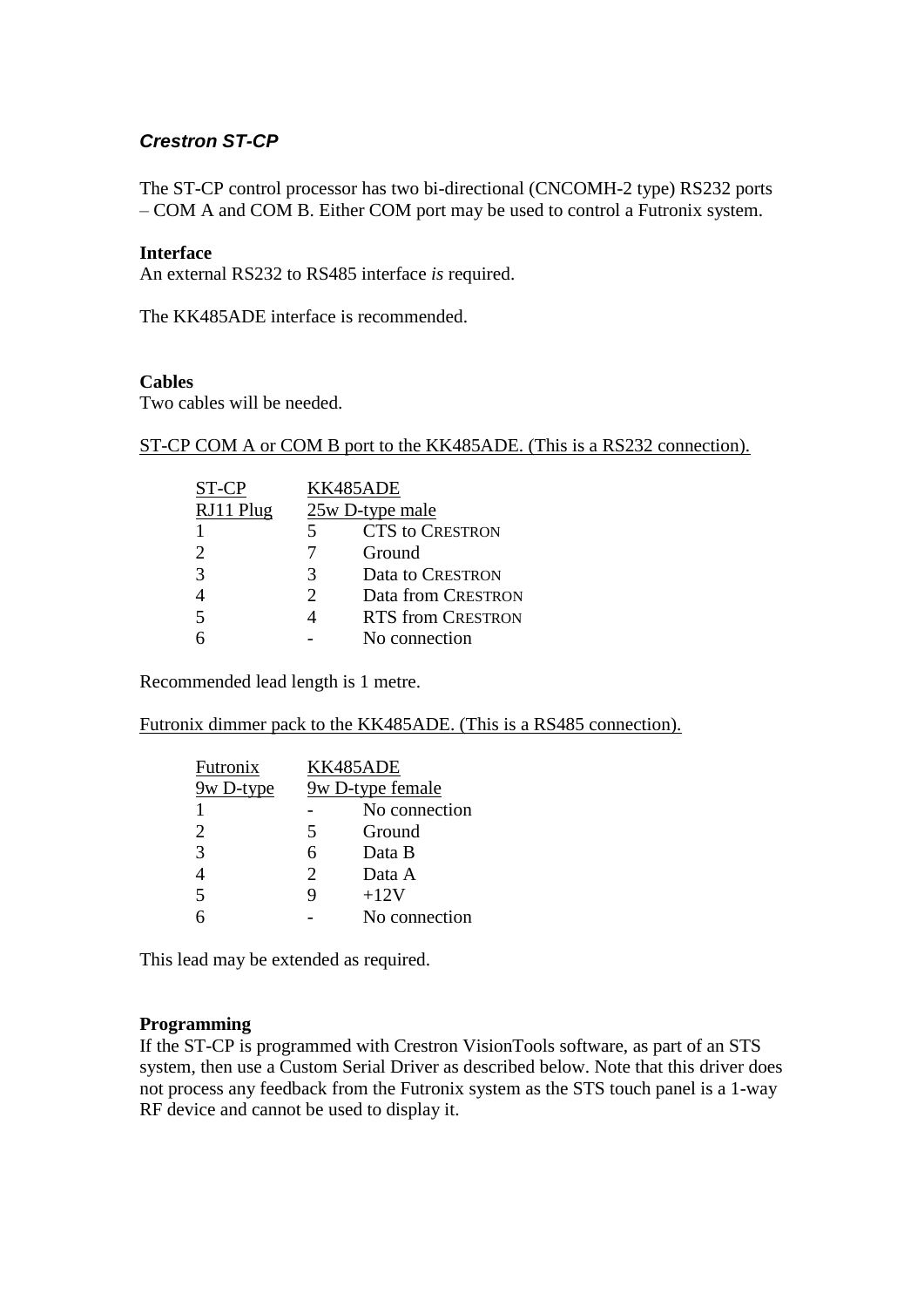# *Crestron ST-CP*

The ST-CP control processor has two bi-directional (CNCOMH-2 type) RS232 ports – COM A and COM B. Either COM port may be used to control a Futronix system.

#### **Interface**

An external RS232 to RS485 interface *is* required.

The KK485ADE interface is recommended.

#### **Cables**

Two cables will be needed.

#### ST-CP COM A or COM B port to the KK485ADE. (This is a RS232 connection).

| ST-CP                    |                       | KK485ADE                 |  |
|--------------------------|-----------------------|--------------------------|--|
| RJ11 Plug                |                       | $25w$ D-type male        |  |
|                          | 5.                    | <b>CTS to CRESTRON</b>   |  |
| $\mathcal{D}_{\cdot}$    |                       | Ground                   |  |
| $\mathcal{R}$            | 3                     | Data to CRESTRON         |  |
|                          | $\mathcal{D}_{\cdot}$ | Data from CRESTRON       |  |
| $\overline{\phantom{1}}$ |                       | <b>RTS from CRESTRON</b> |  |
|                          |                       | No connection            |  |
|                          |                       |                          |  |

Recommended lead length is 1 metre.

Futronix dimmer pack to the KK485ADE. (This is a RS485 connection).

| Futronix                    | KK485ADE                    |               |
|-----------------------------|-----------------------------|---------------|
| 9w D-type                   | 9w D-type female            |               |
|                             |                             | No connection |
| $\mathcal{D}_{\mathcal{A}}$ | 5                           | Ground        |
| 3                           | 6                           | Data B        |
|                             | $\mathcal{D}_{\mathcal{L}}$ | Data A        |
| 5                           |                             | $+12V$        |
|                             |                             | No connection |

This lead may be extended as required.

#### **Programming**

If the ST-CP is programmed with Crestron VisionTools software, as part of an STS system, then use a Custom Serial Driver as described below. Note that this driver does not process any feedback from the Futronix system as the STS touch panel is a 1-way RF device and cannot be used to display it.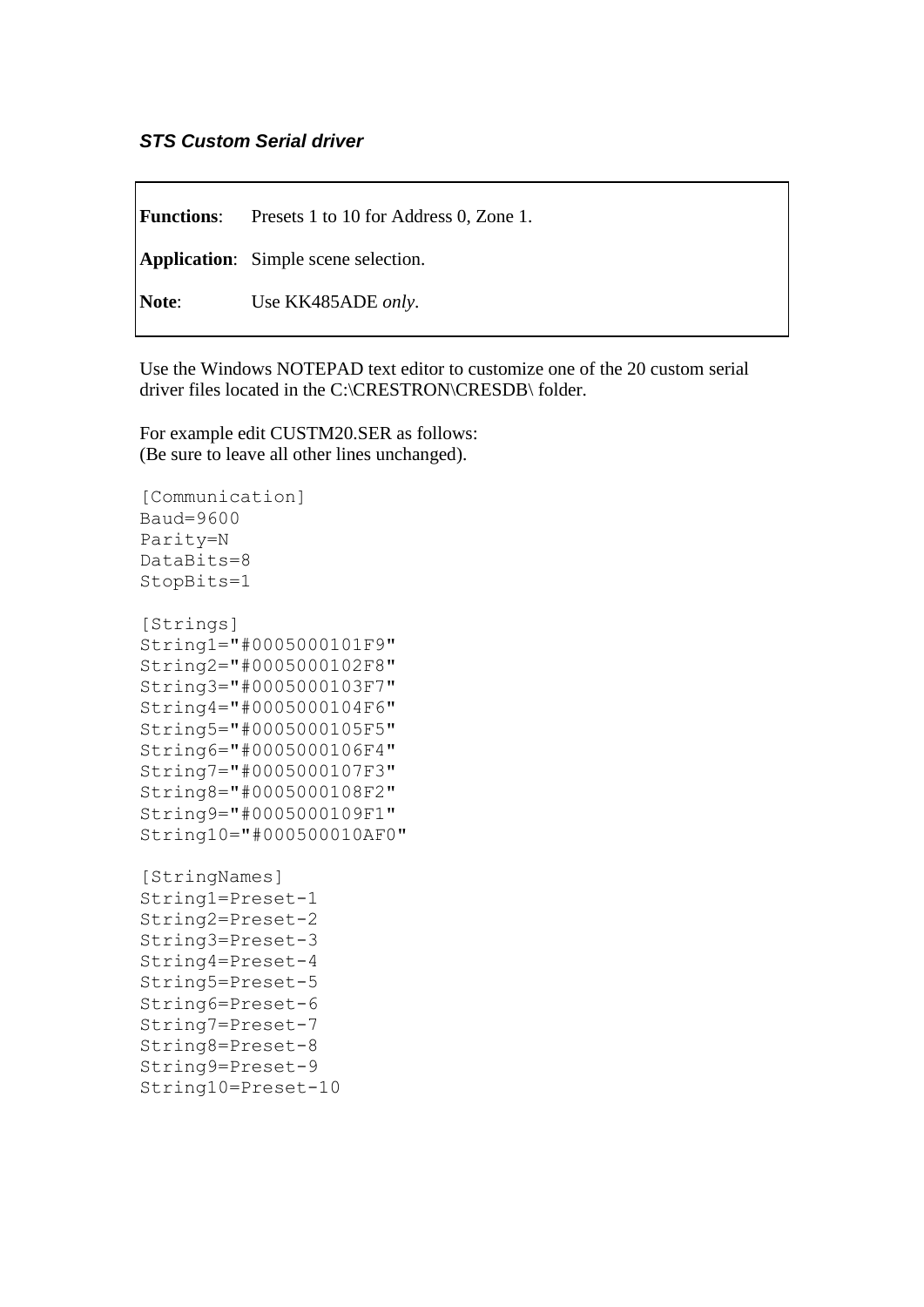## *STS Custom Serial driver*

**Functions**: Presets 1 to 10 for Address 0, Zone 1. **Application**: Simple scene selection. **Note**: Use KK485ADE *only*.

Use the Windows NOTEPAD text editor to customize one of the 20 custom serial driver files located in the C:\CRESTRON\CRESDB\ folder.

For example edit CUSTM20.SER as follows: (Be sure to leave all other lines unchanged).

```
[Communication]
Baud=9600
Parity=N
DataBits=8
StopBits=1
[Strings]
String1="#0005000101F9"
String2="#0005000102F8"
String3="#0005000103F7"
String4="#0005000104F6"
String5="#0005000105F5"
String6="#0005000106F4"
String7="#0005000107F3"
String8="#0005000108F2"
String9="#0005000109F1"
String10="#000500010AF0"
[StringNames]
String1=Preset-1
String2=Preset-2
String3=Preset-3
String4=Preset-4
String5=Preset-5
String6=Preset-6
String7=Preset-7
String8=Preset-8
String9=Preset-9
String10=Preset-10
```